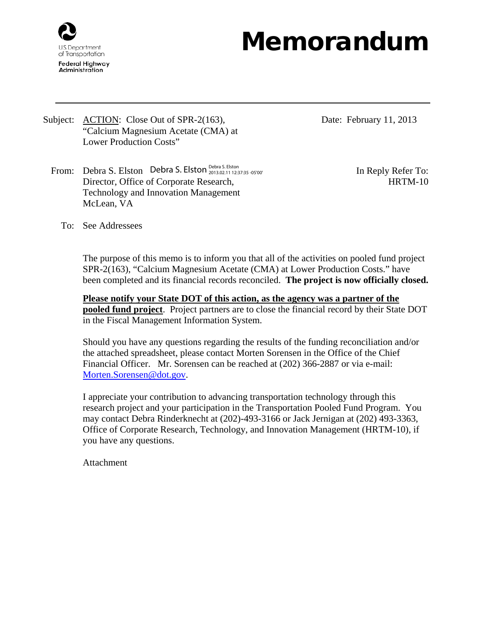

## Memorandum

Subject: <u>ACTION</u>: Close Out of SPR-2(163), "Calcium Magnesium Acetate (CMA) at Lower Production Costs"

Date: February 11, 2013

From: Debra S. Elston In Reply Refer To: Debra S. Elston Debra S. Elston 2013.02.11 12:37:35 -05'00'Director, Office of Corporate Research, Technology and Innovation Management McLean, VA

HRTM-10

To: See Addressees

The purpose of this memo is to inform you that all of the activities on pooled fund project SPR-2(163), "Calcium Magnesium Acetate (CMA) at Lower Production Costs." have been completed and its financial records reconciled. **The project is now officially closed.**

**Please notify your State DOT of this action, as the agency was a partner of the pooled fund project**. Project partners are to close the financial record by their State DOT in the Fiscal Management Information System.

Should you have any questions regarding the results of the funding reconciliation and/or the attached spreadsheet, please contact Morten Sorensen in the Office of the Chief Financial Officer. Mr. Sorensen can be reached at (202) 366-2887 or via e-mail: [Morten.Sorensen@dot.gov.](mailto:Morten.Sorensen@dot.gov)

I appreciate your contribution to advancing transportation technology through this research project and your participation in the Transportation Pooled Fund Program. You may contact Debra Rinderknecht at (202)-493-3166 or Jack Jernigan at (202) 493-3363, Office of Corporate Research, Technology, and Innovation Management (HRTM-10), if you have any questions.

Attachment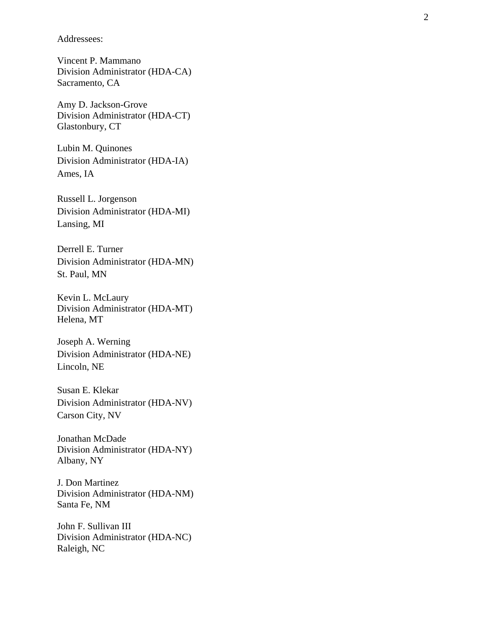Addressees:

Vincent P. Mammano Division Administrator (HDA -CA) Sacramento, CA

Amy D. Jackson -Grove Division Administrator (HDA -CT) Glastonbury, CT

Lubin M. Quinones Division Administrator (HDA -IA) Ames, IA

Russell L. Jorgenson Division Administrator (HDA -MI) Lansing, MI

Derrell E. Turner Division Administrator (HDA -MN) St. Paul, MN

Kevin L. McLaury Division Administrator (HDA -MT) Helena, MT

Joseph A. Werning Division Administrator (HDA -NE) Lincoln, NE

Susan E. Klekar Division Administrator (HDA -NV) Carson City, NV

Jonathan McDade Division Administrator (HDA -NY) Albany, NY

J. Don Martinez Division Administrator (HDA -NM) Santa Fe, NM

John F. Sullivan III Division Administrator (HDA -NC) Raleigh, NC